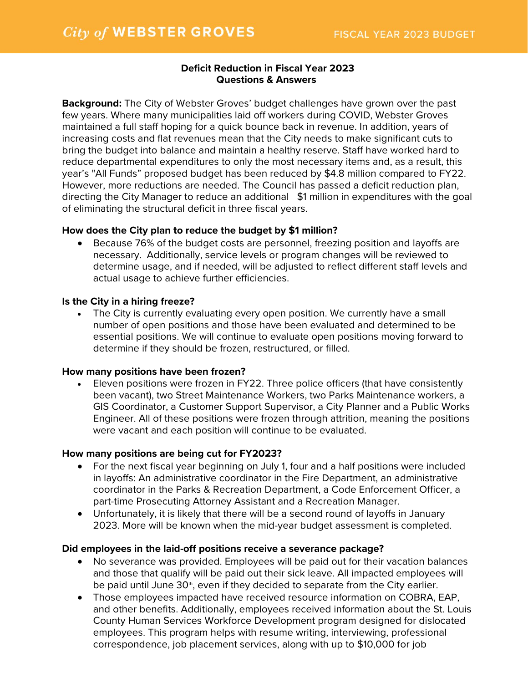# **Deficit Reduction in Fiscal Year 2023 Questions & Answers**

**Background:** The City of Webster Groves' budget challenges have grown over the past few years. Where many municipalities laid off workers during COVID, Webster Groves maintained a full staff hoping for a quick bounce back in revenue. In addition, years of increasing costs and flat revenues mean that the City needs to make significant cuts to bring the budget into balance and maintain a healthy reserve. Staff have worked hard to reduce departmental expenditures to only the most necessary items and, as a result, this year's "All Funds" proposed budget has been reduced by \$4.8 million compared to FY22. However, more reductions are needed. The Council has passed a deficit reduction plan, directing the City Manager to reduce an additional \$1 million in expenditures with the goal of eliminating the structural deficit in three fiscal years.

### **How does the City plan to reduce the budget by \$1 million?**

• Because 76% of the budget costs are personnel, freezing position and layoffs are necessary. Additionally, service levels or program changes will be reviewed to determine usage, and if needed, will be adjusted to reflect different staff levels and actual usage to achieve further efficiencies.

### **Is the City in a hiring freeze?**

• The City is currently evaluating every open position. We currently have a small number of open positions and those have been evaluated and determined to be essential positions. We will continue to evaluate open positions moving forward to determine if they should be frozen, restructured, or filled.

### **How many positions have been frozen?**

• Eleven positions were frozen in FY22. Three police officers (that have consistently been vacant), two Street Maintenance Workers, two Parks Maintenance workers, a GIS Coordinator, a Customer Support Supervisor, a City Planner and a Public Works Engineer. All of these positions were frozen through attrition, meaning the positions were vacant and each position will continue to be evaluated.

### **How many positions are being cut for FY2023?**

- For the next fiscal year beginning on July 1, four and a half positions were included in layoffs: An administrative coordinator in the Fire Department, an administrative coordinator in the Parks & Recreation Department, a Code Enforcement Officer, a part-time Prosecuting Attorney Assistant and a Recreation Manager.
- Unfortunately, it is likely that there will be a second round of layoffs in January 2023. More will be known when the mid-year budget assessment is completed.

### **Did employees in the laid-off positions receive a severance package?**

- No severance was provided. Employees will be paid out for their vacation balances and those that qualify will be paid out their sick leave. All impacted employees will be paid until June 30<sup>th</sup>, even if they decided to separate from the City earlier.
- Those employees impacted have received resource information on COBRA, EAP, and other benefits. Additionally, employees received information about the St. Louis County Human Services Workforce Development program designed for dislocated employees. This program helps with resume writing, interviewing, professional correspondence, job placement services, along with up to \$10,000 for job